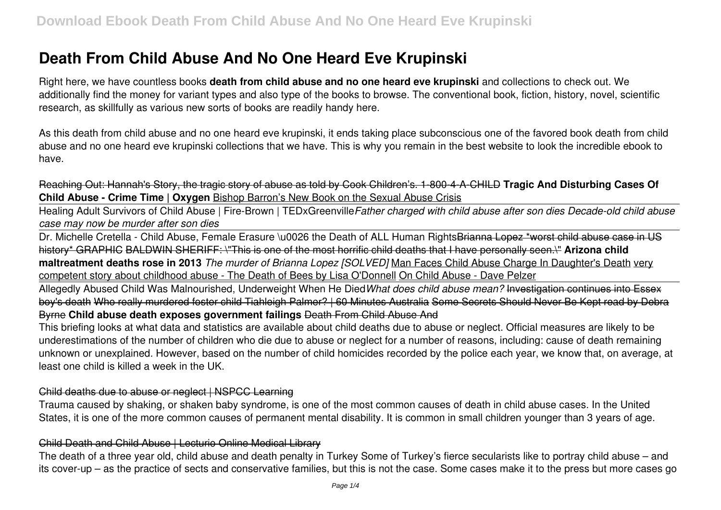# **Death From Child Abuse And No One Heard Eve Krupinski**

Right here, we have countless books **death from child abuse and no one heard eve krupinski** and collections to check out. We additionally find the money for variant types and also type of the books to browse. The conventional book, fiction, history, novel, scientific research, as skillfully as various new sorts of books are readily handy here.

As this death from child abuse and no one heard eve krupinski, it ends taking place subconscious one of the favored book death from child abuse and no one heard eve krupinski collections that we have. This is why you remain in the best website to look the incredible ebook to have.

Reaching Out: Hannah's Story, the tragic story of abuse as told by Cook Children's. 1-800-4-A-CHILD **Tragic And Disturbing Cases Of Child Abuse - Crime Time | Oxygen Bishop Barron's New Book on the Sexual Abuse Crisis** 

Healing Adult Survivors of Child Abuse | Fire-Brown | TEDxGreenville*Father charged with child abuse after son dies Decade-old child abuse case may now be murder after son dies*

Dr. Michelle Cretella - Child Abuse, Female Erasure \u0026 the Death of ALL Human RightsBrianna Lopez \*worst child abuse case in US history\* GRAPHIC BALDWIN SHERIFF: \"This is one of the most horrific child deaths that I have personally seen.\" **Arizona child maltreatment deaths rose in 2013** *The murder of Brianna Lopez [SOLVED]* Man Faces Child Abuse Charge In Daughter's Death very competent story about childhood abuse - The Death of Bees by Lisa O'Donnell On Child Abuse - Dave Pelzer

Allegedly Abused Child Was Malnourished, Underweight When He Died*What does child abuse mean?* Investigation continues into Essex boy's death Who really murdered foster child Tiahleigh Palmer? | 60 Minutes Australia Some Secrets Should Never Be Kept read by Debra Byrne **Child abuse death exposes government failings** Death From Child Abuse And

This briefing looks at what data and statistics are available about child deaths due to abuse or neglect. Official measures are likely to be underestimations of the number of children who die due to abuse or neglect for a number of reasons, including: cause of death remaining unknown or unexplained. However, based on the number of child homicides recorded by the police each year, we know that, on average, at least one child is killed a week in the UK.

### Child deaths due to abuse or neglect | NSPCC Learning

Trauma caused by shaking, or shaken baby syndrome, is one of the most common causes of death in child abuse cases. In the United States, it is one of the more common causes of permanent mental disability. It is common in small children younger than 3 years of age.

### Child Death and Child Abuse | Lecturio Online Medical Library

The death of a three year old, child abuse and death penalty in Turkey Some of Turkey's fierce secularists like to portray child abuse – and its cover-up – as the practice of sects and conservative families, but this is not the case. Some cases make it to the press but more cases go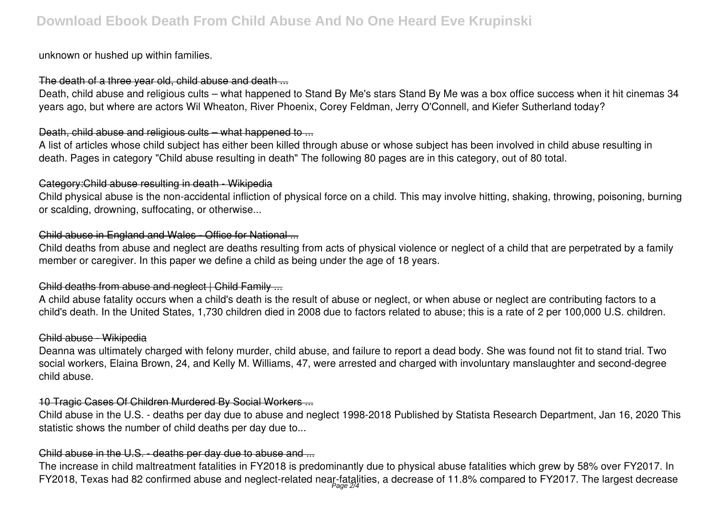unknown or hushed up within families.

## The death of a three year old, child abuse and death ...

Death, child abuse and religious cults – what happened to Stand By Me's stars Stand By Me was a box office success when it hit cinemas 34 years ago, but where are actors Wil Wheaton, River Phoenix, Corey Feldman, Jerry O'Connell, and Kiefer Sutherland today?

# Death, child abuse and religious cults – what happened to ...

A list of articles whose child subject has either been killed through abuse or whose subject has been involved in child abuse resulting in death. Pages in category "Child abuse resulting in death" The following 80 pages are in this category, out of 80 total.

# Category:Child abuse resulting in death - Wikipedia

Child physical abuse is the non-accidental infliction of physical force on a child. This may involve hitting, shaking, throwing, poisoning, burning or scalding, drowning, suffocating, or otherwise...

# Child abuse in England and Wales - Office for National ...

Child deaths from abuse and neglect are deaths resulting from acts of physical violence or neglect of a child that are perpetrated by a family member or caregiver. In this paper we define a child as being under the age of 18 years.

# Child deaths from abuse and neglect | Child Family ...

A child abuse fatality occurs when a child's death is the result of abuse or neglect, or when abuse or neglect are contributing factors to a child's death. In the United States, 1,730 children died in 2008 due to factors related to abuse; this is a rate of 2 per 100,000 U.S. children.

## Child abuse - Wikipedia

Deanna was ultimately charged with felony murder, child abuse, and failure to report a dead body. She was found not fit to stand trial. Two social workers, Elaina Brown, 24, and Kelly M. Williams, 47, were arrested and charged with involuntary manslaughter and second-degree child abuse.

# 10 Tragic Cases Of Children Murdered By Social Workers ...

Child abuse in the U.S. - deaths per day due to abuse and neglect 1998-2018 Published by Statista Research Department, Jan 16, 2020 This statistic shows the number of child deaths per day due to...

# Child abuse in the U.S. - deaths per day due to abuse and ...

The increase in child maltreatment fatalities in FY2018 is predominantly due to physical abuse fatalities which grew by 58% over FY2017. In FY2018, Texas had 82 confirmed abuse and neglect-related near-fatalities, a decrease of 11.8% compared to FY2017. The largest decrease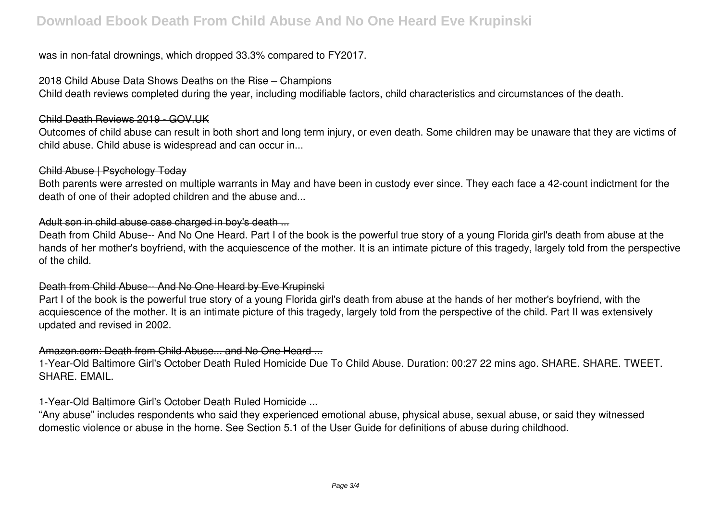was in non-fatal drownings, which dropped 33.3% compared to FY2017.

### 2018 Child Abuse Data Shows Deaths on the Rise – Champions

Child death reviews completed during the year, including modifiable factors, child characteristics and circumstances of the death.

### Child Death Reviews 2019 - GOV.UK

Outcomes of child abuse can result in both short and long term injury, or even death. Some children may be unaware that they are victims of child abuse. Child abuse is widespread and can occur in...

### Child Abuse | Psychology Today

Both parents were arrested on multiple warrants in May and have been in custody ever since. They each face a 42-count indictment for the death of one of their adopted children and the abuse and...

## Adult son in child abuse case charged in boy's death ...

Death from Child Abuse-- And No One Heard. Part I of the book is the powerful true story of a young Florida girl's death from abuse at the hands of her mother's boyfriend, with the acquiescence of the mother. It is an intimate picture of this tragedy, largely told from the perspective of the child.

### Death from Child Abuse-- And No One Heard by Eve Krupinski

Part I of the book is the powerful true story of a young Florida girl's death from abuse at the hands of her mother's boyfriend, with the acquiescence of the mother. It is an intimate picture of this tragedy, largely told from the perspective of the child. Part II was extensively updated and revised in 2002.

## Amazon.com: Death from Child Abuse... and No One Heard ...

1-Year-Old Baltimore Girl's October Death Ruled Homicide Due To Child Abuse. Duration: 00:27 22 mins ago. SHARE. SHARE. TWEET. SHARE. EMAIL.

### 1-Year-Old Baltimore Girl's October Death Ruled Homicide ...

"Any abuse" includes respondents who said they experienced emotional abuse, physical abuse, sexual abuse, or said they witnessed domestic violence or abuse in the home. See Section 5.1 of the User Guide for definitions of abuse during childhood.